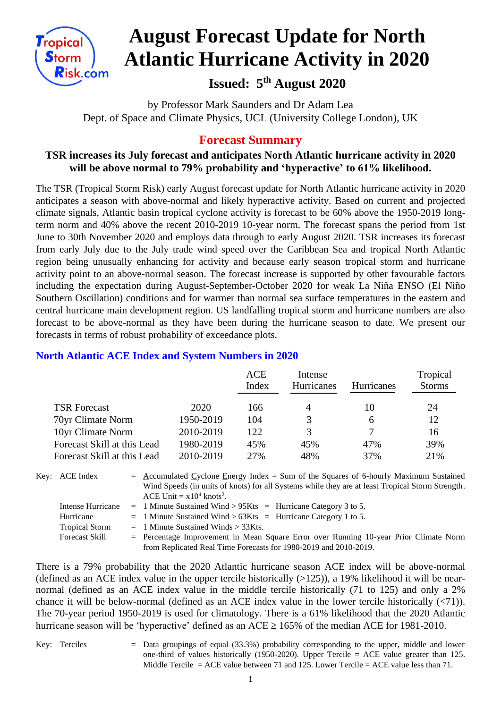

# **August Forecast Update for North Atlantic Hurricane Activity in 2020**

# **Issued: 5 th August 2020**

by Professor Mark Saunders and Dr Adam Lea Dept. of Space and Climate Physics, UCL (University College London), UK

## **Forecast Summary**

#### **TSR increases its July forecast and anticipates North Atlantic hurricane activity in 2020 will be above normal to 79% probability and 'hyperactive' to 61% likelihood.**

The TSR (Tropical Storm Risk) early August forecast update for North Atlantic hurricane activity in 2020 anticipates a season with above-normal and likely hyperactive activity. Based on current and projected climate signals, Atlantic basin tropical cyclone activity is forecast to be 60% above the 1950-2019 longterm norm and 40% above the recent 2010-2019 10-year norm. The forecast spans the period from 1st June to 30th November 2020 and employs data through to early August 2020. TSR increases its forecast from early July due to the July trade wind speed over the Caribbean Sea and tropical North Atlantic region being unusually enhancing for activity and because early season tropical storm and hurricane activity point to an above-normal season. The forecast increase is supported by other favourable factors including the expectation during August-September-October 2020 for weak La Niña ENSO (El Niño Southern Oscillation) conditions and for warmer than normal sea surface temperatures in the eastern and central hurricane main development region. US landfalling tropical storm and hurricane numbers are also forecast to be above-normal as they have been during the hurricane season to date. We present our forecasts in terms of robust probability of exceedance plots.

|                             |           | <b>ACE</b><br>Index | Intense<br><b>Hurricanes</b> | <b>Hurricanes</b> | Tropical<br><b>Storms</b> |
|-----------------------------|-----------|---------------------|------------------------------|-------------------|---------------------------|
| <b>TSR</b> Forecast         | 2020      | 166                 | $\overline{4}$               | 10                | 24                        |
| 70yr Climate Norm           | 1950-2019 | 104                 | 3                            | 6                 | 12                        |
| 10yr Climate Norm           | 2010-2019 | 122.                | 3                            |                   | 16                        |
| Forecast Skill at this Lead | 1980-2019 | 45%                 | 45%                          | 47%               | 39%                       |
| Forecast Skill at this Lead | 2010-2019 | 27%                 | 48%                          | 37%               | 21%                       |

#### **North Atlantic ACE Index and System Numbers in 2020**

| Key: ACE Index        | $=$ Accumulated Cyclone Energy Index = Sum of the Squares of 6-hourly Maximum Sustained<br>Wind Speeds (in units of knots) for all Systems while they are at least Tropical Storm Strength. |
|-----------------------|---------------------------------------------------------------------------------------------------------------------------------------------------------------------------------------------|
|                       | ACE Unit = $x10^4$ knots <sup>2</sup> .                                                                                                                                                     |
| Intense Hurricane     | $=$ 1 Minute Sustained Wind > 95Kts $=$ Hurricane Category 3 to 5.                                                                                                                          |
| Hurricane             | $=$ 1 Minute Sustained Wind > 63Kts $=$ Hurricane Category 1 to 5.                                                                                                                          |
| <b>Tropical Storm</b> | $=$ 1 Minute Sustained Winds $>$ 33Kts.                                                                                                                                                     |
| <b>Forecast Skill</b> | $=$ Percentage Improvement in Mean Square Error over Running 10-year Prior Climate Norm                                                                                                     |
|                       | from Replicated Real Time Forecasts for 1980-2019 and 2010-2019.                                                                                                                            |

There is a 79% probability that the 2020 Atlantic hurricane season ACE index will be above-normal (defined as an ACE index value in the upper tercile historically  $(>125)$ ), a 19% likelihood it will be nearnormal (defined as an ACE index value in the middle tercile historically (71 to 125) and only a 2% chance it will be below-normal (defined as an ACE index value in the lower tercile historically (<71)). The 70-year period 1950-2019 is used for climatology. There is a 61% likelihood that the 2020 Atlantic hurricane season will be 'hyperactive' defined as an ACE  $\geq$  165% of the median ACE for 1981-2010.

Key: Terciles = Data groupings of equal (33.3%) probability corresponding to the upper, middle and lower one-third of values historically  $(1950-2020)$ . Upper Tercile = ACE value greater than 125. Middle Tercile  $=$  ACE value between 71 and 125. Lower Tercile  $=$  ACE value less than 71.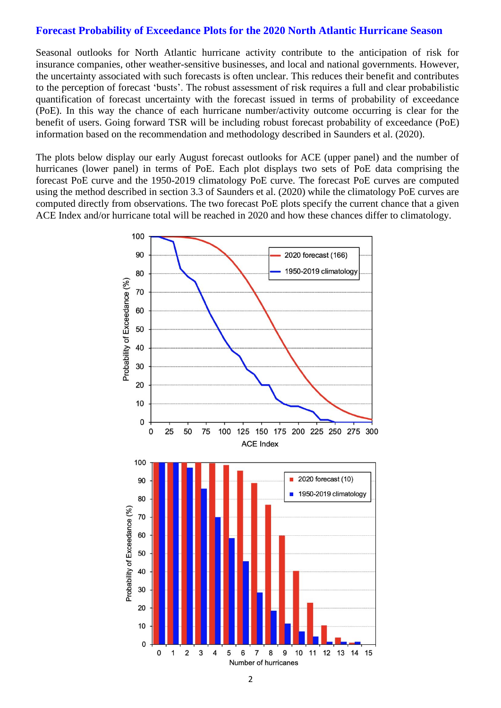#### **Forecast Probability of Exceedance Plots for the 2020 North Atlantic Hurricane Season**

Seasonal outlooks for North Atlantic hurricane activity contribute to the anticipation of risk for insurance companies, other weather-sensitive businesses, and local and national governments. However, the uncertainty associated with such forecasts is often unclear. This reduces their benefit and contributes to the perception of forecast 'busts'. The robust assessment of risk requires a full and clear probabilistic quantification of forecast uncertainty with the forecast issued in terms of probability of exceedance (PoE). In this way the chance of each hurricane number/activity outcome occurring is clear for the benefit of users. Going forward TSR will be including robust forecast probability of exceedance (PoE) information based on the recommendation and methodology described in Saunders et al. (2020).

The plots below display our early August forecast outlooks for ACE (upper panel) and the number of hurricanes (lower panel) in terms of PoE. Each plot displays two sets of PoE data comprising the forecast PoE curve and the 1950-2019 climatology PoE curve. The forecast PoE curves are computed using the method described in section 3.3 of Saunders et al. (2020) while the climatology PoE curves are computed directly from observations. The two forecast PoE plots specify the current chance that a given ACE Index and/or hurricane total will be reached in 2020 and how these chances differ to climatology.

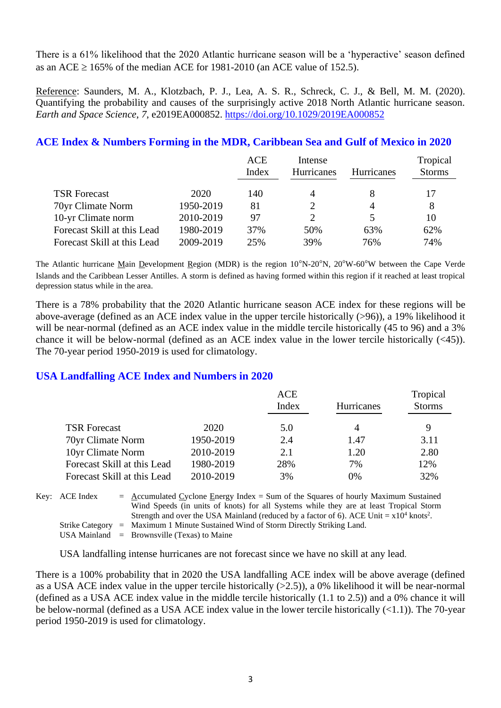There is a 61% likelihood that the 2020 Atlantic hurricane season will be a 'hyperactive' season defined as an ACE  $\geq$  165% of the median ACE for 1981-2010 (an ACE value of 152.5).

Reference: Saunders, M. A., Klotzbach, P. J., Lea, A. S. R., Schreck, C. J., & Bell, M. M. (2020). Quantifying the probability and causes of the surprisingly active 2018 North Atlantic hurricane season. *Earth and Space Science*, *7*, e2019EA000852.<https://doi.org/10.1029/2019EA000852>

#### **ACE Index & Numbers Forming in the MDR, Caribbean Sea and Gulf of Mexico in 2020**

|                             |           | <b>ACE</b><br>Index | Intense<br>Hurricanes | <b>Hurricanes</b> | Tropical<br><b>Storms</b> |
|-----------------------------|-----------|---------------------|-----------------------|-------------------|---------------------------|
| <b>TSR Forecast</b>         | 2020      | 140                 | 4                     |                   | 17                        |
| 70yr Climate Norm           | 1950-2019 | 81                  | 2                     | 4                 | 8                         |
| 10-yr Climate norm          | 2010-2019 | 97                  | 2                     |                   | 10                        |
| Forecast Skill at this Lead | 1980-2019 | 37%                 | 50%                   | 63%               | 62%                       |
| Forecast Skill at this Lead | 2009-2019 | 25%                 | 39%                   | 76%               | 74%                       |

The Atlantic hurricane Main Development Region (MDR) is the region 10ºN-20ºN, 20ºW-60ºW between the Cape Verde Islands and the Caribbean Lesser Antilles. A storm is defined as having formed within this region if it reached at least tropical depression status while in the area.

There is a 78% probability that the 2020 Atlantic hurricane season ACE index for these regions will be above-average (defined as an ACE index value in the upper tercile historically (>96)), a 19% likelihood it will be near-normal (defined as an ACE index value in the middle tercile historically (45 to 96) and a 3% chance it will be below-normal (defined as an ACE index value in the lower tercile historically (<45)). The 70-year period 1950-2019 is used for climatology.

#### **USA Landfalling ACE Index and Numbers in 2020**

|                             |           | ACE<br>Index | <b>Hurricanes</b> | Tropical<br><b>Storms</b> |
|-----------------------------|-----------|--------------|-------------------|---------------------------|
| <b>TSR Forecast</b>         | 2020      | 5.0          |                   | 9                         |
| 70yr Climate Norm           | 1950-2019 | 2.4          | 1.47              | 3.11                      |
| 10yr Climate Norm           | 2010-2019 | 2.1          | 1.20              | 2.80                      |
| Forecast Skill at this Lead | 1980-2019 | 28%          | 7%                | 12%                       |
| Forecast Skill at this Lead | 2010-2019 | 3%           | $0\%$             | 32%                       |

Key:  $\text{ACE Index} = \text{Accumulated Cvelone Energy Index} = \text{Sum of the Squares of hourly Maximum Sustainable distance.}$ Wind Speeds (in units of knots) for all Systems while they are at least Tropical Storm Strength and over the USA Mainland (reduced by a factor of 6). ACE Unit =  $x10^4$  knots<sup>2</sup>. Strike Category = Maximum 1 Minute Sustained Wind of Storm Directly Striking Land. USA Mainland  $=$  Brownsville (Texas) to Maine

USA landfalling intense hurricanes are not forecast since we have no skill at any lead.

There is a 100% probability that in 2020 the USA landfalling ACE index will be above average (defined as a USA ACE index value in the upper tercile historically  $(>2.5)$ ), a 0% likelihood it will be near-normal (defined as a USA ACE index value in the middle tercile historically (1.1 to 2.5)) and a 0% chance it will be below-normal (defined as a USA ACE index value in the lower tercile historically  $(\langle 1.1 \rangle)$ ). The 70-year period 1950-2019 is used for climatology.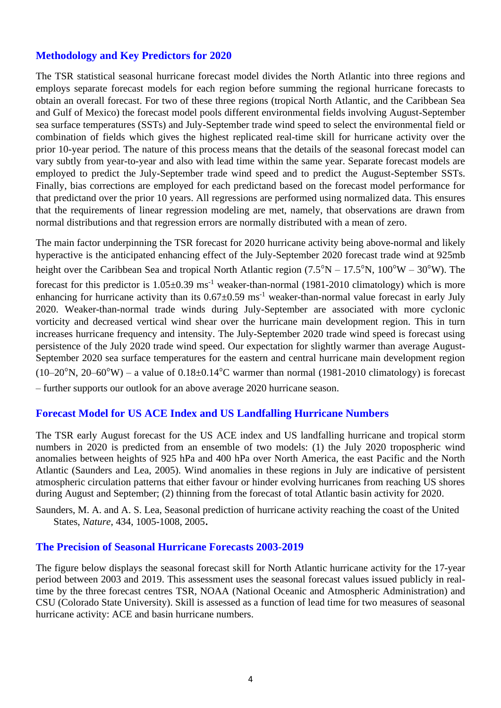#### **Methodology and Key Predictors for 2020**

The TSR statistical seasonal hurricane forecast model divides the North Atlantic into three regions and employs separate forecast models for each region before summing the regional hurricane forecasts to obtain an overall forecast. For two of these three regions (tropical North Atlantic, and the Caribbean Sea and Gulf of Mexico) the forecast model pools different environmental fields involving August-September sea surface temperatures (SSTs) and July-September trade wind speed to select the environmental field or combination of fields which gives the highest replicated real-time skill for hurricane activity over the prior 10-year period. The nature of this process means that the details of the seasonal forecast model can vary subtly from year-to-year and also with lead time within the same year. Separate forecast models are employed to predict the July-September trade wind speed and to predict the August-September SSTs. Finally, bias corrections are employed for each predictand based on the forecast model performance for that predictand over the prior 10 years. All regressions are performed using normalized data. This ensures that the requirements of linear regression modeling are met, namely, that observations are drawn from normal distributions and that regression errors are normally distributed with a mean of zero.

The main factor underpinning the TSR forecast for 2020 hurricane activity being above-normal and likely hyperactive is the anticipated enhancing effect of the July-September 2020 forecast trade wind at 925mb height over the Caribbean Sea and tropical North Atlantic region  $(7.5^{\circ}N - 17.5^{\circ}N, 100^{\circ}W - 30^{\circ}W)$ . The forecast for this predictor is  $1.05\pm0.39$  ms<sup>-1</sup> weaker-than-normal (1981-2010 climatology) which is more enhancing for hurricane activity than its  $0.67 \pm 0.59$  ms<sup>-1</sup> weaker-than-normal value forecast in early July 2020. Weaker-than-normal trade winds during July-September are associated with more cyclonic vorticity and decreased vertical wind shear over the hurricane main development region. This in turn increases hurricane frequency and intensity. The July-September 2020 trade wind speed is forecast using persistence of the July 2020 trade wind speed. Our expectation for slightly warmer than average August-September 2020 sea surface temperatures for the eastern and central hurricane main development region  $(10-20^{\circ}N, 20-60^{\circ}W)$  – a value of  $0.18\pm0.14^{\circ}C$  warmer than normal (1981-2010 climatology) is forecast – further supports our outlook for an above average 2020 hurricane season.

#### **Forecast Model for US ACE Index and US Landfalling Hurricane Numbers**

The TSR early August forecast for the US ACE index and US landfalling hurricane and tropical storm numbers in 2020 is predicted from an ensemble of two models: (1) the July 2020 tropospheric wind anomalies between heights of 925 hPa and 400 hPa over North America, the east Pacific and the North Atlantic (Saunders and Lea, 2005). Wind anomalies in these regions in July are indicative of persistent atmospheric circulation patterns that either favour or hinder evolving hurricanes from reaching US shores during August and September; (2) thinning from the forecast of total Atlantic basin activity for 2020.

Saunders, M. A. and A. S. Lea, Seasonal prediction of hurricane activity reaching the coast of the United States, *Nature*, 434, 1005-1008, 2005.

#### **The Precision of Seasonal Hurricane Forecasts 2003-2019**

The figure below displays the seasonal forecast skill for North Atlantic hurricane activity for the 17-year period between 2003 and 2019. This assessment uses the seasonal forecast values issued publicly in realtime by the three forecast centres TSR, NOAA (National Oceanic and Atmospheric Administration) and CSU (Colorado State University). Skill is assessed as a function of lead time for two measures of seasonal hurricane activity: ACE and basin hurricane numbers.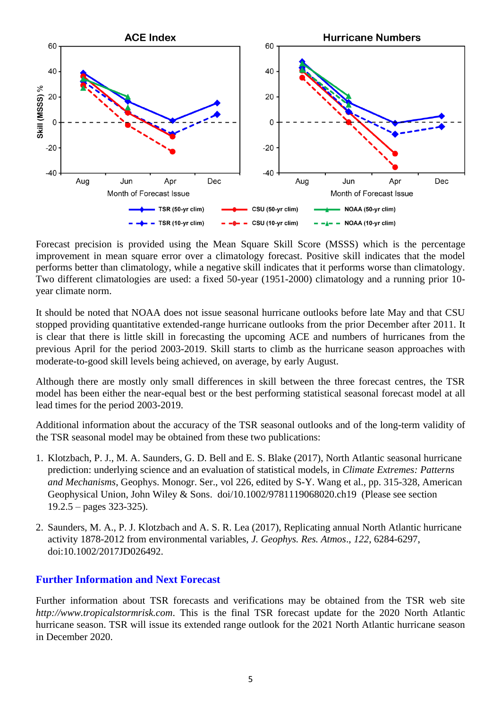

Forecast precision is provided using the Mean Square Skill Score (MSSS) which is the percentage improvement in mean square error over a climatology forecast. Positive skill indicates that the model performs better than climatology, while a negative skill indicates that it performs worse than climatology. Two different climatologies are used: a fixed 50-year (1951-2000) climatology and a running prior 10 year climate norm.

It should be noted that NOAA does not issue seasonal hurricane outlooks before late May and that CSU stopped providing quantitative extended-range hurricane outlooks from the prior December after 2011. It is clear that there is little skill in forecasting the upcoming ACE and numbers of hurricanes from the previous April for the period 2003-2019. Skill starts to climb as the hurricane season approaches with moderate-to-good skill levels being achieved, on average, by early August.

Although there are mostly only small differences in skill between the three forecast centres, the TSR model has been either the near-equal best or the best performing statistical seasonal forecast model at all lead times for the period 2003-2019.

Additional information about the accuracy of the TSR seasonal outlooks and of the long-term validity of the TSR seasonal model may be obtained from these two publications:

- 1. Klotzbach, P. J., M. A. Saunders, G. D. Bell and E. S. Blake (2017), North Atlantic seasonal hurricane prediction: underlying science and an evaluation of statistical models, in *Climate Extremes: Patterns and Mechanisms*, Geophys. Monogr. Ser., vol 226, edited by S-Y. Wang et al., pp. 315-328, American Geophysical Union, John Wiley & Sons. doi/10.1002/9781119068020.ch19 (Please see section  $19.2.5 - pages 323-325$ .
- 2. Saunders, M. A., P. J. Klotzbach and A. S. R. Lea (2017), Replicating annual North Atlantic hurricane activity 1878-2012 from environmental variables, *J. Geophys. Res. Atmos*., *122*, 6284-6297, doi:10.1002/2017JD026492.

#### **Further Information and Next Forecast**

Further information about TSR forecasts and verifications may be obtained from the TSR web site *http://www.tropicalstormrisk.com*. This is the final TSR forecast update for the 2020 North Atlantic hurricane season. TSR will issue its extended range outlook for the 2021 North Atlantic hurricane season in December 2020.